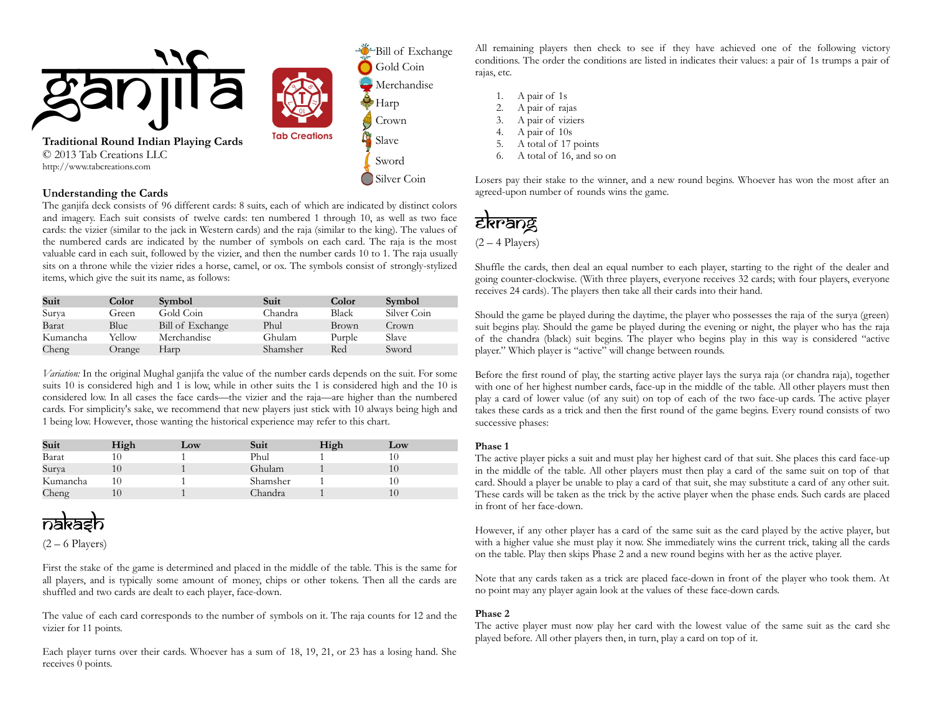

#### **Understanding the Cards**

The ganjifa deck consists of 96 different cards: 8 suits, each of which are indicated by distinct colors and imagery. Each suit consists of twelve cards: ten numbered 1 through 10, as well as two face cards: the vizier (similar to the jack in Western cards) and the raja (similar to the king). The values of the numbered cards are indicated by the number of symbols on each card. The raja is the most valuable card in each suit, followed by the vizier, and then the number cards 10 to 1. The raja usually sits on a throne while the vizier rides a horse, camel, or ox. The symbols consist of strongly-stylized items, which give the suit its name, as follows:

| Suit     | Color  | <b>Symbol</b>    | Suit     | Color  | <b>Symbol</b> |
|----------|--------|------------------|----------|--------|---------------|
| Surya    | Green  | Gold Coin        | Chandra  | Black  | Silver Coin   |
| Barat    | Blue   | Bill of Exchange | Phul     | Brown  | Crown         |
| Kumancha | Yellow | Merchandise      | Ghulam   | Purple | <b>Slave</b>  |
| Cheng    | Orange | Harp             | Shamsher | Red    | Sword         |

*Variation:* In the original Mughal ganjifa the value of the number cards depends on the suit. For some suits 10 is considered high and 1 is low, while in other suits the 1 is considered high and the 10 is considered low. In all cases the face cards—the vizier and the raja—are higher than the numbered cards. For simplicity's sake, we recommend that new players just stick with 10 always being high and 1 being low. However, those wanting the historical experience may refer to this chart.

| Suit     | High | Low | Suit     | High | Low |
|----------|------|-----|----------|------|-----|
| Barat    |      |     | Phul     |      |     |
| Surva    |      |     | Ghulam   |      |     |
| Kumancha |      |     | Shamsher |      |     |
| Cheng    |      |     | `handra  |      |     |

# Nakash

 $(2 - 6$  Players)

First the stake of the game is determined and placed in the middle of the table. This is the same for all players, and is typically some amount of money, chips or other tokens. Then all the cards are shuffled and two cards are dealt to each player, face-down.

The value of each card corresponds to the number of symbols on it. The raja counts for 12 and the vizier for 11 points.

Each player turns over their cards. Whoever has a sum of 18, 19, 21, or 23 has a losing hand. She receives 0 points.

All remaining players then check to see if they have achieved one of the following victory conditions. The order the conditions are listed in indicates their values: a pair of 1s trumps a pair of rajas, etc.

| 1.  | A pair of 1s             |
|-----|--------------------------|
| 2.  | A pair of rajas          |
| 3.  | A pair of viziers        |
| 4.  | A pair of 10s            |
| .5. | A total of 17 points     |
| 6.  | A total of 16, and so on |
|     |                          |

Losers pay their stake to the winner, and a new round begins. Whoever has won the most after an agreed-upon number of rounds wins the game.

### Ekrang

 $(2 - 4$  Players)

Shuffle the cards, then deal an equal number to each player, starting to the right of the dealer and going counter-clockwise. (With three players, everyone receives 32 cards; with four players, everyone receives 24 cards). The players then take all their cards into their hand.

Should the game be played during the daytime, the player who possesses the raja of the surya (green) suit begins play. Should the game be played during the evening or night, the player who has the raja of the chandra (black) suit begins. The player who begins play in this way is considered "active player." Which player is "active" will change between rounds.

Before the first round of play, the starting active player lays the surya raja (or chandra raja), together with one of her highest number cards, face-up in the middle of the table. All other players must then play a card of lower value (of any suit) on top of each of the two face-up cards. The active player takes these cards as a trick and then the first round of the game begins. Every round consists of two successive phases:

#### **Phase 1**

The active player picks a suit and must play her highest card of that suit. She places this card face-up in the middle of the table. All other players must then play a card of the same suit on top of that card. Should a player be unable to play a card of that suit, she may substitute a card of any other suit. These cards will be taken as the trick by the active player when the phase ends. Such cards are placed in front of her face-down.

However, if any other player has a card of the same suit as the card played by the active player, but with a higher value she must play it now. She immediately wins the current trick, taking all the cards on the table. Play then skips Phase 2 and a new round begins with her as the active player.

Note that any cards taken as a trick are placed face-down in front of the player who took them. At no point may any player again look at the values of these face-down cards.

#### **Phase 2**

The active player must now play her card with the lowest value of the same suit as the card she played before. All other players then, in turn, play a card on top of it.